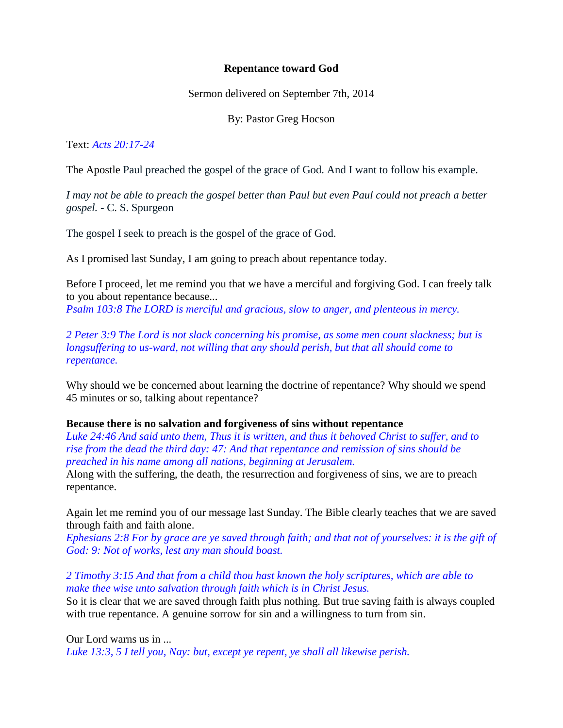## **Repentance toward God**

Sermon delivered on September 7th, 2014

By: Pastor Greg Hocson

Text: *Acts 20:17-24*

The Apostle Paul preached the gospel of the grace of God. And I want to follow his example.

*I may not be able to preach the gospel better than Paul but even Paul could not preach a better gospel.* - C. S. Spurgeon

The gospel I seek to preach is the gospel of the grace of God.

As I promised last Sunday, I am going to preach about repentance today.

Before I proceed, let me remind you that we have a merciful and forgiving God. I can freely talk to you about repentance because... *Psalm 103:8 The LORD is merciful and gracious, slow to anger, and plenteous in mercy.*

*2 Peter 3:9 The Lord is not slack concerning his promise, as some men count slackness; but is longsuffering to us-ward, not willing that any should perish, but that all should come to repentance.*

Why should we be concerned about learning the doctrine of repentance? Why should we spend 45 minutes or so, talking about repentance?

# **Because there is no salvation and forgiveness of sins without repentance**

*Luke 24:46 And said unto them, Thus it is written, and thus it behoved Christ to suffer, and to rise from the dead the third day: 47: And that repentance and remission of sins should be preached in his name among all nations, beginning at Jerusalem.*

Along with the suffering, the death, the resurrection and forgiveness of sins, we are to preach repentance.

Again let me remind you of our message last Sunday. The Bible clearly teaches that we are saved through faith and faith alone.

*Ephesians 2:8 For by grace are ye saved through faith; and that not of yourselves: it is the gift of God: 9: Not of works, lest any man should boast.*

*2 Timothy 3:15 And that from a child thou hast known the holy scriptures, which are able to make thee wise unto salvation through faith which is in Christ Jesus.* So it is clear that we are saved through faith plus nothing. But true saving faith is always coupled

with true repentance. A genuine sorrow for sin and a willingness to turn from sin.

Our Lord warns us in ...

*Luke 13:3, 5 I tell you, Nay: but, except ye repent, ye shall all likewise perish.*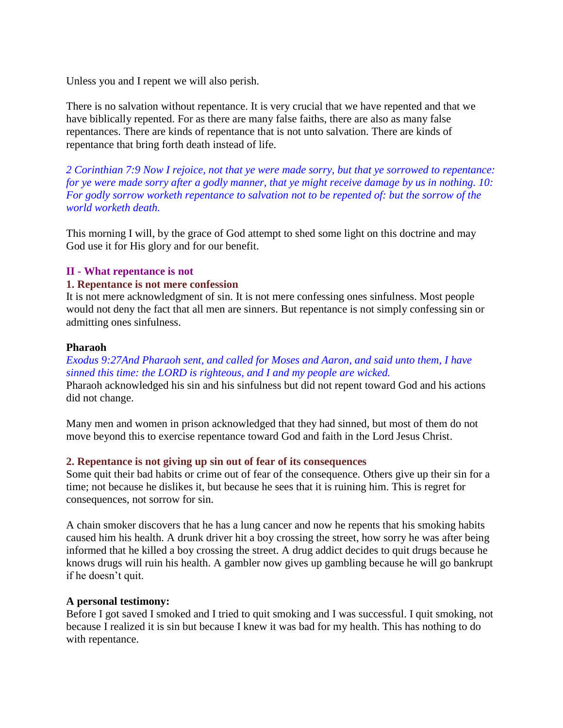Unless you and I repent we will also perish.

There is no salvation without repentance. It is very crucial that we have repented and that we have biblically repented. For as there are many false faiths, there are also as many false repentances. There are kinds of repentance that is not unto salvation. There are kinds of repentance that bring forth death instead of life.

*2 Corinthian 7:9 Now I rejoice, not that ye were made sorry, but that ye sorrowed to repentance: for ye were made sorry after a godly manner, that ye might receive damage by us in nothing. 10: For godly sorrow worketh repentance to salvation not to be repented of: but the sorrow of the world worketh death.*

This morning I will, by the grace of God attempt to shed some light on this doctrine and may God use it for His glory and for our benefit.

## **II - What repentance is not**

### **1. Repentance is not mere confession**

It is not mere acknowledgment of sin. It is not mere confessing ones sinfulness. Most people would not deny the fact that all men are sinners. But repentance is not simply confessing sin or admitting ones sinfulness.

### **Pharaoh**

## *Exodus 9:27And Pharaoh sent, and called for Moses and Aaron, and said unto them, I have sinned this time: the LORD is righteous, and I and my people are wicked.*

Pharaoh acknowledged his sin and his sinfulness but did not repent toward God and his actions did not change.

Many men and women in prison acknowledged that they had sinned, but most of them do not move beyond this to exercise repentance toward God and faith in the Lord Jesus Christ.

### **2. Repentance is not giving up sin out of fear of its consequences**

Some quit their bad habits or crime out of fear of the consequence. Others give up their sin for a time; not because he dislikes it, but because he sees that it is ruining him. This is regret for consequences, not sorrow for sin.

A chain smoker discovers that he has a lung cancer and now he repents that his smoking habits caused him his health. A drunk driver hit a boy crossing the street, how sorry he was after being informed that he killed a boy crossing the street. A drug addict decides to quit drugs because he knows drugs will ruin his health. A gambler now gives up gambling because he will go bankrupt if he doesn't quit.

### **A personal testimony:**

Before I got saved I smoked and I tried to quit smoking and I was successful. I quit smoking, not because I realized it is sin but because I knew it was bad for my health. This has nothing to do with repentance.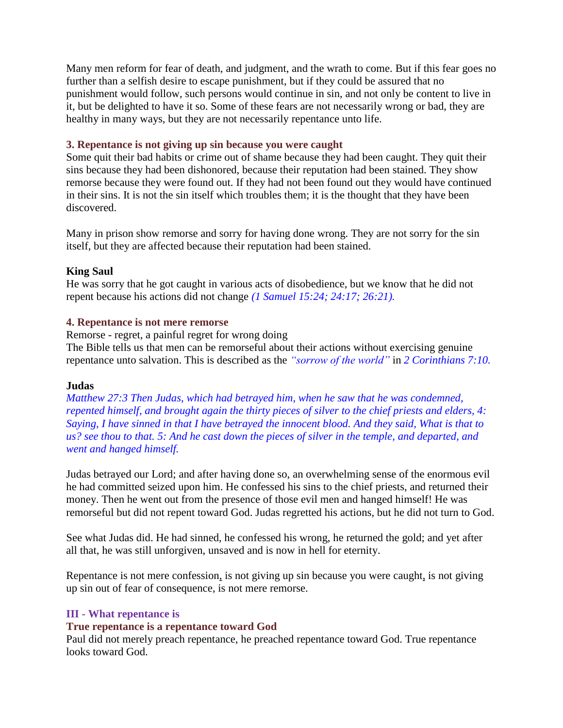Many men reform for fear of death, and judgment, and the wrath to come. But if this fear goes no further than a selfish desire to escape punishment, but if they could be assured that no punishment would follow, such persons would continue in sin, and not only be content to live in it, but be delighted to have it so. Some of these fears are not necessarily wrong or bad, they are healthy in many ways, but they are not necessarily repentance unto life.

### **3. Repentance is not giving up sin because you were caught**

Some quit their bad habits or crime out of shame because they had been caught. They quit their sins because they had been dishonored, because their reputation had been stained. They show remorse because they were found out. If they had not been found out they would have continued in their sins. It is not the sin itself which troubles them; it is the thought that they have been discovered.

Many in prison show remorse and sorry for having done wrong. They are not sorry for the sin itself, but they are affected because their reputation had been stained.

### **King Saul**

He was sorry that he got caught in various acts of disobedience, but we know that he did not repent because his actions did not change *(1 Samuel 15:24; 24:17; 26:21).*

### **4. Repentance is not mere remorse**

Remorse - regret, a painful regret for wrong doing The Bible tells us that men can be remorseful about their actions without exercising genuine repentance unto salvation. This is described as the *"sorrow of the world"* in *2 Corinthians 7:10.*

### **Judas**

*Matthew 27:3 Then Judas, which had betrayed him, when he saw that he was condemned, repented himself, and brought again the thirty pieces of silver to the chief priests and elders, 4: Saying, I have sinned in that I have betrayed the innocent blood. And they said, What is that to us? see thou to that. 5: And he cast down the pieces of silver in the temple, and departed, and went and hanged himself.*

Judas betrayed our Lord; and after having done so, an overwhelming sense of the enormous evil he had committed seized upon him. He confessed his sins to the chief priests, and returned their money. Then he went out from the presence of those evil men and hanged himself! He was remorseful but did not repent toward God. Judas regretted his actions, but he did not turn to God.

See what Judas did. He had sinned, he confessed his wrong, he returned the gold; and yet after all that, he was still unforgiven, unsaved and is now in hell for eternity.

Repentance is not mere confession, is not giving up sin because you were caught, is not giving up sin out of fear of consequence, is not mere remorse.

## **III - What repentance is**

### **True repentance is a repentance toward God**

Paul did not merely preach repentance, he preached repentance toward God. True repentance looks toward God.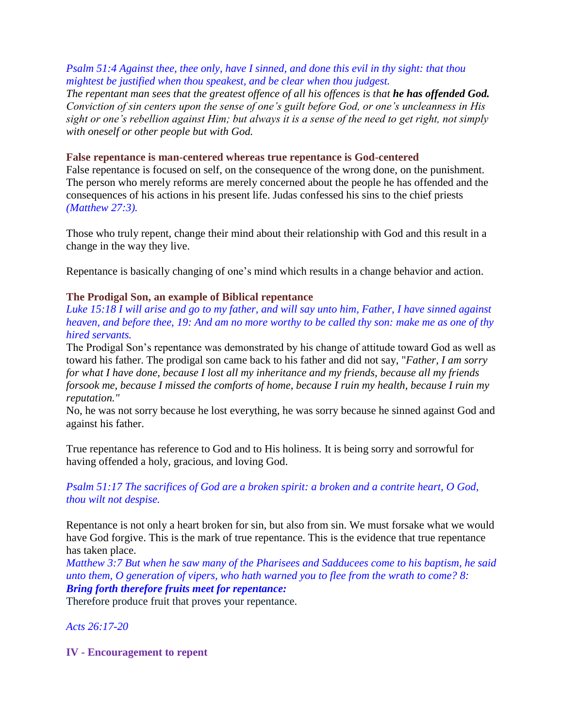# *Psalm 51:4 Against thee, thee only, have I sinned, and done this evil in thy sight: that thou mightest be justified when thou speakest, and be clear when thou judgest.*

*The repentant man sees that the greatest offence of all his offences is that he has offended God. Conviction of sin centers upon the sense of one's guilt before God, or one's uncleanness in His sight or one's rebellion against Him; but always it is a sense of the need to get right, not simply with oneself or other people but with God.*

## **False repentance is man-centered whereas true repentance is God-centered**

False repentance is focused on self, on the consequence of the wrong done, on the punishment. The person who merely reforms are merely concerned about the people he has offended and the consequences of his actions in his present life. Judas confessed his sins to the chief priests *(Matthew 27:3).*

Those who truly repent, change their mind about their relationship with God and this result in a change in the way they live.

Repentance is basically changing of one's mind which results in a change behavior and action.

# **The Prodigal Son, an example of Biblical repentance**

*Luke 15:18 I will arise and go to my father, and will say unto him, Father, I have sinned against heaven, and before thee, 19: And am no more worthy to be called thy son: make me as one of thy hired servants.*

The Prodigal Son's repentance was demonstrated by his change of attitude toward God as well as toward his father. The prodigal son came back to his father and did not say, "*Father, I am sorry for what I have done, because I lost all my inheritance and my friends, because all my friends forsook me, because I missed the comforts of home, because I ruin my health, because I ruin my reputation."*

No, he was not sorry because he lost everything, he was sorry because he sinned against God and against his father.

True repentance has reference to God and to His holiness. It is being sorry and sorrowful for having offended a holy, gracious, and loving God.

*Psalm 51:17 The sacrifices of God are a broken spirit: a broken and a contrite heart, O God, thou wilt not despise.*

Repentance is not only a heart broken for sin, but also from sin. We must forsake what we would have God forgive. This is the mark of true repentance. This is the evidence that true repentance has taken place.

*Matthew 3:7 But when he saw many of the Pharisees and Sadducees come to his baptism, he said unto them, O generation of vipers, who hath warned you to flee from the wrath to come? 8: Bring forth therefore fruits meet for repentance:*

Therefore produce fruit that proves your repentance.

*Acts 26:17-20*

**IV - Encouragement to repent**